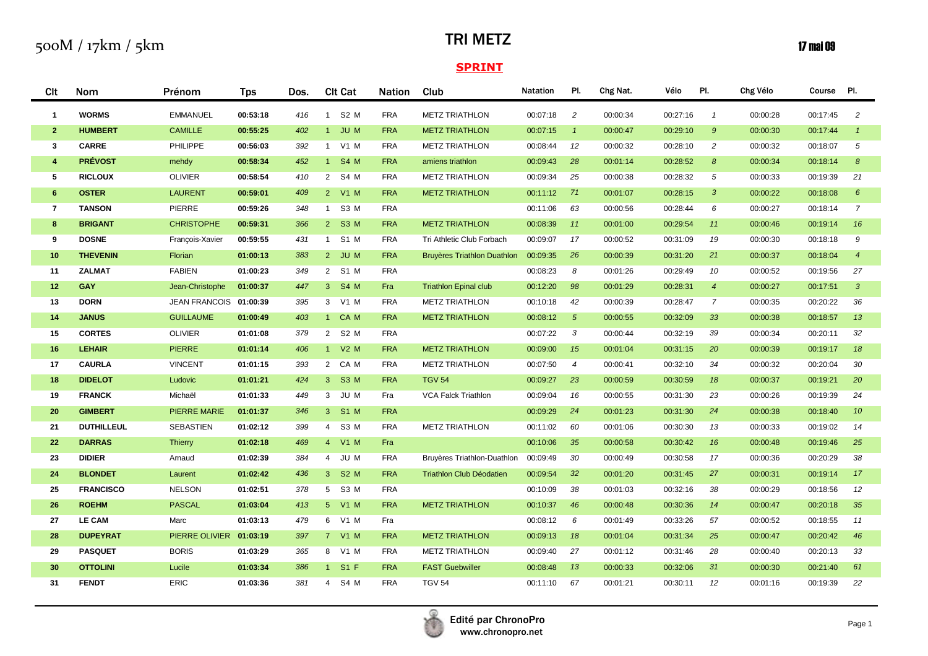## TRI METZ

## $\mathbf{17}$  mai 09

| Clt                     | Nom               | Prénom                  | <b>Tps</b> | Dos. | <b>CIt Cat</b>         | <b>Nation</b> | Club                               | <b>Natation</b> | PI.            | Chg Nat. | Vélo     | PI.              | Chg Vélo | Course Pl. |                       |
|-------------------------|-------------------|-------------------------|------------|------|------------------------|---------------|------------------------------------|-----------------|----------------|----------|----------|------------------|----------|------------|-----------------------|
| $\mathbf{1}$            | <b>WORMS</b>      | <b>EMMANUEL</b>         | 00:53:18   | 416  | 1 S2 M                 | <b>FRA</b>    | <b>METZ TRIATHLON</b>              | 00:07:18        | 2              | 00:00:34 | 00:27:16 | $\overline{1}$   | 00:00:28 | 00:17:45   | $\overline{c}$        |
| 2 <sup>1</sup>          | <b>HUMBERT</b>    | <b>CAMILLE</b>          | 00:55:25   | 402  | JU M<br>1 <sup>1</sup> | <b>FRA</b>    | <b>METZ TRIATHLON</b>              | 00:07:15        | $\overline{1}$ | 00:00:47 | 00:29:10 | $9^{\circ}$      | 00:00:30 | 00:17:44   | $\overline{1}$        |
| 3                       | <b>CARRE</b>      | PHILIPPE                | 00:56:03   | 392  | 1 V1 M                 | <b>FRA</b>    | <b>METZ TRIATHLON</b>              | 00:08:44        | 12             | 00:00:32 | 00:28:10 | 2                | 00:00:32 | 00:18:07   | 5                     |
| $\overline{\mathbf{4}}$ | <b>PRÉVOST</b>    | mehdy                   | 00:58:34   | 452  | 1 S4 M                 | <b>FRA</b>    | amiens triathlon                   | 00:09:43        | 28             | 00:01:14 | 00:28:52 | $\boldsymbol{8}$ | 00:00:34 | 00:18:14   | $\boldsymbol{\delta}$ |
| 5                       | <b>RICLOUX</b>    | <b>OLIVIER</b>          | 00:58:54   | 410  | 2 S4 M                 | <b>FRA</b>    | <b>METZ TRIATHLON</b>              | 00:09:34        | 25             | 00:00:38 | 00:28:32 | $\sqrt{5}$       | 00:00:33 | 00:19:39   | 21                    |
| $6\phantom{1}$          | <b>OSTER</b>      | <b>LAURENT</b>          | 00:59:01   | 409  | 2 V1 M                 | <b>FRA</b>    | <b>METZ TRIATHLON</b>              | 00:11:12        | 71             | 00:01:07 | 00:28:15 | $\mathbf{3}$     | 00:00:22 | 00:18:08   | 6                     |
| $\overline{7}$          | <b>TANSON</b>     | PIERRE                  | 00:59:26   | 348  | 1 S3 M                 | <b>FRA</b>    |                                    | 00:11:06        | 63             | 00:00:56 | 00:28:44 | 6                | 00:00:27 | 00:18:14   | $\overline{7}$        |
| 8                       | <b>BRIGANT</b>    | <b>CHRISTOPHE</b>       | 00:59:31   | 366  | 2 S3 M                 | <b>FRA</b>    | <b>METZ TRIATHLON</b>              | 00:08:39        | 11             | 00:01:00 | 00:29:54 | 11               | 00:00:46 | 00:19:14   | 16                    |
| 9                       | <b>DOSNE</b>      | François-Xavier         | 00:59:55   | 431  | S1 M<br>1              | <b>FRA</b>    | Tri Athletic Club Forbach          | 00:09:07        | 17             | 00:00:52 | 00:31:09 | 19               | 00:00:30 | 00:18:18   | 9                     |
| 10                      | <b>THEVENIN</b>   | Florian                 | 01:00:13   | 383  | 2 JU M                 | <b>FRA</b>    | <b>Bruyères Triathlon Duathlon</b> | 00:09:35        | 26             | 00:00:39 | 00:31:20 | 21               | 00:00:37 | 00:18:04   | $\overline{4}$        |
| 11                      | <b>ZALMAT</b>     | <b>FABIEN</b>           | 01:00:23   | 349  | 2 S1 M                 | <b>FRA</b>    |                                    | 00:08:23        | 8              | 00:01:26 | 00:29:49 | 10               | 00:00:52 | 00:19:56   | 27                    |
| 12                      | <b>GAY</b>        | Jean-Christophe         | 01:00:37   | 447  | 3 S4 M                 | Fra           | <b>Triathlon Epinal club</b>       | 00:12:20        | 98             | 00:01:29 | 00:28:31 | $\overline{4}$   | 00:00:27 | 00:17:51   | $\mathbf{3}$          |
| 13                      | <b>DORN</b>       | JEAN FRANCOIS 01:00:39  |            | 395  | 3 V1 M                 | <b>FRA</b>    | <b>METZ TRIATHLON</b>              | 00:10:18        | 42             | 00:00:39 | 00:28:47 | $\overline{7}$   | 00:00:35 | 00:20:22   | 36                    |
| 14                      | <b>JANUS</b>      | <b>GUILLAUME</b>        | 01:00:49   | 403  | 1 CAM                  | <b>FRA</b>    | <b>METZ TRIATHLON</b>              | 00:08:12        | 5 <sup>5</sup> | 00:00:55 | 00:32:09 | 33               | 00:00:38 | 00:18:57   | 13                    |
| 15                      | <b>CORTES</b>     | <b>OLIVIER</b>          | 01:01:08   | 379  | 2 S2 M                 | <b>FRA</b>    |                                    | 00:07:22        | 3              | 00:00:44 | 00:32:19 | 39               | 00:00:34 | 00:20:11   | 32                    |
| 16                      | <b>LEHAIR</b>     | PIERRE                  | 01:01:14   | 406  | 1 V2 M                 | <b>FRA</b>    | <b>METZ TRIATHLON</b>              | 00:09:00        | 15             | 00:01:04 | 00:31:15 | 20               | 00:00:39 | 00:19:17   | 18                    |
| 17                      | <b>CAURLA</b>     | <b>VINCENT</b>          | 01:01:15   | 393  | 2 CAM                  | <b>FRA</b>    | <b>METZ TRIATHLON</b>              | 00:07:50        | $\overline{4}$ | 00:00:41 | 00:32:10 | 34               | 00:00:32 | 00:20:04   | 30                    |
| 18                      | <b>DIDELOT</b>    | Ludovic                 | 01:01:21   | 424  | 3 S3 M                 | <b>FRA</b>    | <b>TGV 54</b>                      | 00:09:27        | 23             | 00:00:59 | 00:30:59 | 18               | 00:00:37 | 00:19:21   | 20                    |
| 19                      | <b>FRANCK</b>     | Michaël                 | 01:01:33   | 449  | JU M<br>3 <sup>7</sup> | Fra           | VCA Falck Triathlon                | 00:09:04        | 16             | 00:00:55 | 00:31:30 | 23               | 00:00:26 | 00:19:39   | 24                    |
| 20                      | <b>GIMBERT</b>    | <b>PIERRE MARIE</b>     | 01:01:37   | 346  | 3 S1 M                 | <b>FRA</b>    |                                    | 00:09:29        | 24             | 00:01:23 | 00:31:30 | 24               | 00:00:38 | 00:18:40   | 10 <sup>°</sup>       |
| 21                      | <b>DUTHILLEUL</b> | <b>SEBASTIEN</b>        | 01:02:12   | 399  | 4 S3 M                 | <b>FRA</b>    | <b>METZ TRIATHLON</b>              | 00:11:02        | 60             | 00:01:06 | 00:30:30 | 13               | 00:00:33 | 00:19:02   | 14                    |
| 22                      | <b>DARRAS</b>     | Thierry                 | 01:02:18   | 469  | 4 V1 M                 | Fra           |                                    | 00:10:06        | 35             | 00:00:58 | 00:30:42 | 16               | 00:00:48 | 00:19:46   | 25                    |
| 23                      | <b>DIDIER</b>     | Arnaud                  | 01:02:39   | 384  | 4 JU M                 | <b>FRA</b>    | Bruyères Triathlon-Duathlon        | 00:09:49        | 30             | 00:00:49 | 00:30:58 | 17               | 00:00:36 | 00:20:29   | 38                    |
| 24                      | <b>BLONDET</b>    | Laurent                 | 01:02:42   | 436  | 3 S2 M                 | <b>FRA</b>    | <b>Triathlon Club Déodatien</b>    | 00:09:54        | 32             | 00:01:20 | 00:31:45 | 27               | 00:00:31 | 00:19:14   | 17                    |
| 25                      | <b>FRANCISCO</b>  | <b>NELSON</b>           | 01:02:51   | 378  | S3 M<br>5 <sup>5</sup> | <b>FRA</b>    |                                    | 00:10:09        | 38             | 00:01:03 | 00:32:16 | 38               | 00:00:29 | 00:18:56   | 12                    |
| 26                      | <b>ROEHM</b>      | <b>PASCAL</b>           | 01:03:04   | 413  | 5 V1 M                 | <b>FRA</b>    | <b>METZ TRIATHLON</b>              | 00:10:37        | 46             | 00:00:48 | 00:30:36 | 14               | 00:00:47 | 00:20:18   | 35                    |
| 27                      | <b>LE CAM</b>     | Marc                    | 01:03:13   | 479  | 6 V1 M                 | Fra           |                                    | 00:08:12        | 6              | 00:01:49 | 00:33:26 | 57               | 00:00:52 | 00:18:55   | 11                    |
| 28                      | <b>DUPEYRAT</b>   | PIERRE OLIVIER 01:03:19 |            | 397  | 7 V1 M                 | <b>FRA</b>    | <b>METZ TRIATHLON</b>              | 00:09:13        | 18             | 00:01:04 | 00:31:34 | 25               | 00:00:47 | 00:20:42   | 46                    |
| 29                      | <b>PASQUET</b>    | <b>BORIS</b>            | 01:03:29   | 365  | 8 V1 M                 | <b>FRA</b>    | <b>METZ TRIATHLON</b>              | 00:09:40        | 27             | 00:01:12 | 00:31:46 | 28               | 00:00:40 | 00:20:13   | 33                    |
| 30                      | <b>OTTOLINI</b>   | Lucile                  | 01:03:34   | 386  | 1 S1 F                 | <b>FRA</b>    | <b>FAST Guebwiller</b>             | 00:08:48        | 13             | 00:00:33 | 00:32:06 | 31               | 00:00:30 | 00:21:40   | 61                    |
| 31                      | <b>FENDT</b>      | <b>ERIC</b>             | 01:03:36   | 381  | 4 S4 M                 | <b>FRA</b>    | <b>TGV 54</b>                      | 00:11:10        | 67             | 00:01:21 | 00:30:11 | 12               | 00:01:16 | 00:19:39   | 22                    |

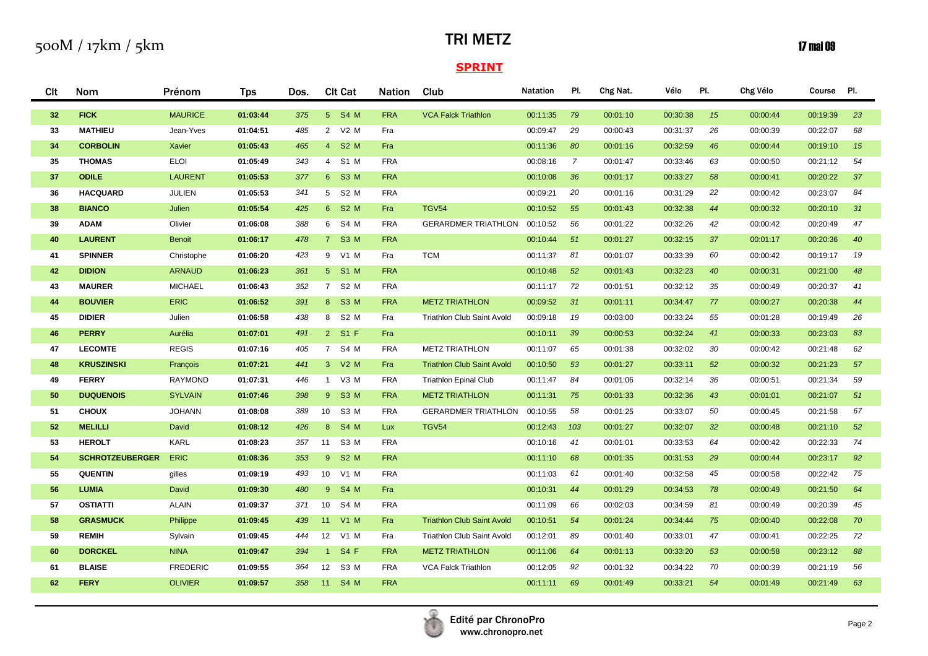## TRI METZ

## $\mathbf{17}$  mai 09

| Clt | Nom                    | Prénom          | <b>Tps</b> | Dos. | <b>Clt Cat</b>                | <b>Nation</b> | Club                              | <b>Natation</b> | PI.            | Chg Nat. | Vélo     | PI. | Chg Vélo | Course   | PI. |
|-----|------------------------|-----------------|------------|------|-------------------------------|---------------|-----------------------------------|-----------------|----------------|----------|----------|-----|----------|----------|-----|
| 32  | <b>FICK</b>            | <b>MAURICE</b>  | 01:03:44   | 375  | 5 S4 M                        | <b>FRA</b>    | <b>VCA Falck Triathlon</b>        | 00:11:35        | 79             | 00:01:10 | 00:30:38 | 15  | 00:00:44 | 00:19:39 | 23  |
| 33  | <b>MATHIEU</b>         | Jean-Yves       | 01:04:51   | 485  | 2 V2 M                        | Fra           |                                   | 00:09:47        | 29             | 00:00:43 | 00:31:37 | 26  | 00:00:39 | 00:22:07 | 68  |
| 34  | <b>CORBOLIN</b>        | <b>Xavier</b>   | 01:05:43   | 465  | 4 S2 M                        | Fra           |                                   | 00:11:36        | 80             | 00:01:16 | 00:32:59 | 46  | 00:00:44 | 00:19:10 | 15  |
| 35  | <b>THOMAS</b>          | <b>ELOI</b>     | 01:05:49   | 343  | 4 S1 M                        | <b>FRA</b>    |                                   | 00:08:16        | $\overline{7}$ | 00:01:47 | 00:33:46 | 63  | 00:00:50 | 00:21:12 | 54  |
| 37  | <b>ODILE</b>           | <b>LAURENT</b>  | 01:05:53   | 377  | 6 <sup>1</sup><br><b>S3 M</b> | <b>FRA</b>    |                                   | 00:10:08        | 36             | 00:01:17 | 00:33:27 | 58  | 00:00:41 | 00:20:22 | 37  |
| 36  | <b>HACQUARD</b>        | <b>JULIEN</b>   | 01:05:53   | 341  | 5 <sub>5</sub><br>S2 M        | <b>FRA</b>    |                                   | 00:09:21        | 20             | 00:01:16 | 00:31:29 | 22  | 00:00:42 | 00:23:07 | 84  |
| 38  | <b>BIANCO</b>          | Julien          | 01:05:54   | 425  | 6 S2 M                        | Fra           | <b>TGV54</b>                      | 00:10:52        | 55             | 00:01:43 | 00:32:38 | 44  | 00:00:32 | 00:20:10 | 31  |
| 39  | <b>ADAM</b>            | Olivier         | 01:06:08   | 388  | 6 S4 M                        | <b>FRA</b>    | <b>GERARDMER TRIATHLON</b>        | 00:10:52        | 56             | 00:01:22 | 00:32:26 | 42  | 00:00:42 | 00:20:49 | 47  |
| 40  | <b>LAURENT</b>         | <b>Benoit</b>   | 01:06:17   | 478  | 7 S3 M                        | <b>FRA</b>    |                                   | 00:10:44        | 51             | 00:01:27 | 00:32:15 | 37  | 00:01:17 | 00:20:36 | 40  |
| 41  | <b>SPINNER</b>         | Christophe      | 01:06:20   | 423  | 9 V1 M                        | Fra           | <b>TCM</b>                        | 00:11:37        | 81             | 00:01:07 | 00:33:39 | 60  | 00:00:42 | 00:19:17 | 19  |
| 42  | <b>DIDION</b>          | <b>ARNAUD</b>   | 01:06:23   | 361  | 5 S1 M                        | <b>FRA</b>    |                                   | 00:10:48        | 52             | 00:01:43 | 00:32:23 | 40  | 00:00:31 | 00:21:00 | 48  |
| 43  | <b>MAURER</b>          | <b>MICHAEL</b>  | 01:06:43   | 352  | 7 S2 M                        | <b>FRA</b>    |                                   | 00:11:17        | 72             | 00:01:51 | 00:32:12 | 35  | 00:00:49 | 00:20:37 | 41  |
| 44  | <b>BOUVIER</b>         | ERIC            | 01:06:52   | 391  | 8 S3 M                        | <b>FRA</b>    | <b>METZ TRIATHLON</b>             | 00:09:52        | 31             | 00:01:11 | 00:34:47 | 77  | 00:00:27 | 00:20:38 | 44  |
| 45  | <b>DIDIER</b>          | Julien          | 01:06:58   | 438  | 8 S2 M                        | Fra           | Triathlon Club Saint Avold        | 00:09:18        | 19             | 00:03:00 | 00:33:24 | 55  | 00:01:28 | 00:19:49 | 26  |
| 46  | <b>PERRY</b>           | Aurélia         | 01:07:01   | 491  | 2 S1 F                        | Fra           |                                   | 00:10:11        | 39             | 00:00:53 | 00:32:24 | 41  | 00:00:33 | 00:23:03 | 83  |
| 47  | <b>LECOMTE</b>         | <b>REGIS</b>    | 01:07:16   | 405  | 7 S4 M                        | <b>FRA</b>    | <b>METZ TRIATHLON</b>             | 00:11:07        | 65             | 00:01:38 | 00:32:02 | 30  | 00:00:42 | 00:21:48 | 62  |
| 48  | <b>KRUSZINSKI</b>      | François        | 01:07:21   | 441  | 3 V2 M                        | Fra           | <b>Triathlon Club Saint Avold</b> | 00:10:50        | 53             | 00:01:27 | 00:33:11 | 52  | 00:00:32 | 00:21:23 | 57  |
| 49  | <b>FERRY</b>           | <b>RAYMOND</b>  | 01:07:31   | 446  | V3 M<br>$\mathbf{1}$          | <b>FRA</b>    | <b>Triathlon Epinal Club</b>      | 00:11:47        | 84             | 00:01:06 | 00:32:14 | 36  | 00:00:51 | 00:21:34 | 59  |
| 50  | <b>DUQUENOIS</b>       | <b>SYLVAIN</b>  | 01:07:46   | 398  | <b>S3 M</b><br>$9^{\circ}$    | <b>FRA</b>    | <b>METZ TRIATHLON</b>             | 00:11:31        | 75             | 00:01:33 | 00:32:36 | 43  | 00:01:01 | 00:21:07 | 51  |
| 51  | <b>CHOUX</b>           | <b>JOHANN</b>   | 01:08:08   | 389  | 10 S3 M                       | <b>FRA</b>    | <b>GERARDMER TRIATHLON</b>        | 00:10:55        | 58             | 00:01:25 | 00:33:07 | 50  | 00:00:45 | 00:21:58 | 67  |
| 52  | <b>MELILLI</b>         | David           | 01:08:12   | 426  | 8 S4 M                        | <b>Lux</b>    | <b>TGV54</b>                      | 00:12:43        | 103            | 00:01:27 | 00:32:07 | 32  | 00:00:48 | 00:21:10 | 52  |
| 53  | <b>HEROLT</b>          | KARL            | 01:08:23   | 357  | S3 M<br>11                    | <b>FRA</b>    |                                   | 00:10:16        | 41             | 00:01:01 | 00:33:53 | 64  | 00:00:42 | 00:22:33 | 74  |
| 54  | <b>SCHROTZEUBERGER</b> | ERIC            | 01:08:36   | 353  | <b>S2 M</b><br>9 <sup>°</sup> | <b>FRA</b>    |                                   | 00:11:10        | 68             | 00:01:35 | 00:31:53 | 29  | 00:00:44 | 00:23:17 | 92  |
| 55  | <b>QUENTIN</b>         | gilles          | 01:09:19   | 493  | 10 V1 M                       | <b>FRA</b>    |                                   | 00:11:03        | 61             | 00:01:40 | 00:32:58 | 45  | 00:00:58 | 00:22:42 | 75  |
| 56  | <b>LUMIA</b>           | David           | 01:09:30   | 480  | <b>S4 M</b><br>9 <sup>°</sup> | Fra           |                                   | 00:10:31        | 44             | 00:01:29 | 00:34:53 | 78  | 00:00:49 | 00:21:50 | 64  |
| 57  | <b>OSTIATTI</b>        | <b>ALAIN</b>    | 01:09:37   | 371  | S4 M<br>10 <sup>1</sup>       | <b>FRA</b>    |                                   | 00:11:09        | 66             | 00:02:03 | 00:34:59 | 81  | 00:00:49 | 00:20:39 | 45  |
| 58  | <b>GRASMUCK</b>        | Philippe        | 01:09:45   | 439  | 11 V1 M                       | Fra           | <b>Triathlon Club Saint Avold</b> | 00:10:51        | 54             | 00:01:24 | 00:34:44 | 75  | 00:00:40 | 00:22:08 | 70  |
| 59  | <b>REMIH</b>           | Sylvain         | 01:09:45   | 444  | 12<br>V1 M                    | Fra           | Triathlon Club Saint Avold        | 00:12:01        | 89             | 00:01:40 | 00:33:01 | 47  | 00:00:41 | 00:22:25 | 72  |
| 60  | <b>DORCKEL</b>         | <b>NINA</b>     | 01:09:47   | 394  | <b>S4 F</b><br>$\sim$         | <b>FRA</b>    | <b>METZ TRIATHLON</b>             | 00:11:06        | 64             | 00:01:13 | 00:33:20 | 53  | 00:00:58 | 00:23:12 | 88  |
| 61  | <b>BLAISE</b>          | <b>FREDERIC</b> | 01:09:55   | 364  | 12<br>S3 M                    | <b>FRA</b>    | <b>VCA Falck Triathlon</b>        | 00:12:05        | 92             | 00:01:32 | 00:34:22 | 70  | 00:00:39 | 00:21:19 | 56  |
| 62  | <b>FERY</b>            | <b>OLIVIER</b>  | 01:09:57   | 358  | 11<br><b>S4 M</b>             | <b>FRA</b>    |                                   | 00:11:11        | 69             | 00:01:49 | 00:33:21 | 54  | 00:01:49 | 00:21:49 | 63  |

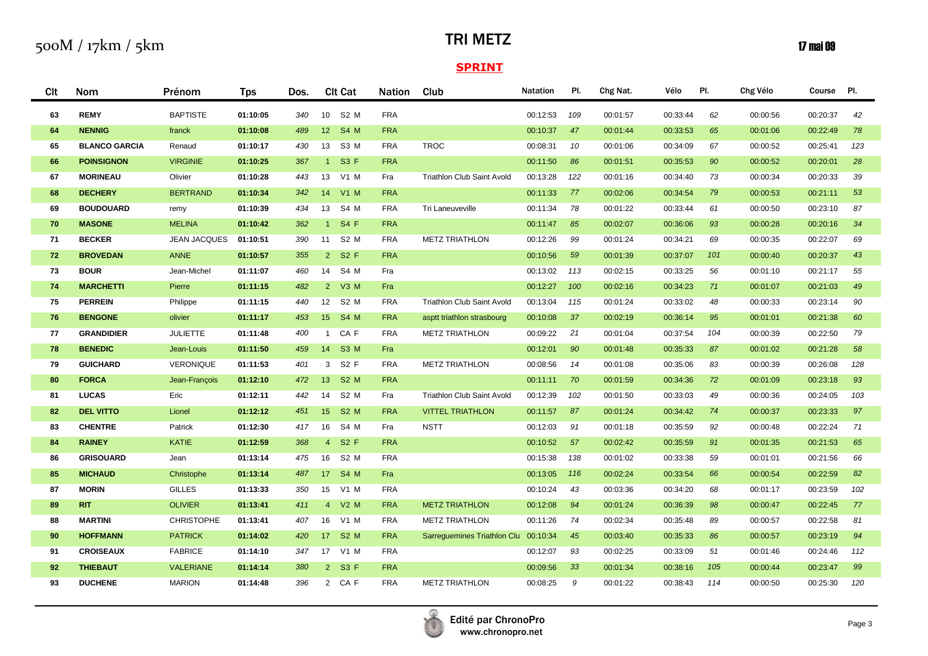## TRI METZ

## $\mathbf{17}$  mai 09

| Clt | <b>Nom</b>           | Prénom              | <b>Tps</b> | Dos. | <b>CIt Cat</b>                      | <b>Nation</b> | Club                        | <b>Natation</b> | PI. | Chg Nat. | Vélo     | PI. | Chg Vélo | Course   | PI. |
|-----|----------------------|---------------------|------------|------|-------------------------------------|---------------|-----------------------------|-----------------|-----|----------|----------|-----|----------|----------|-----|
| 63  | <b>REMY</b>          | <b>BAPTISTE</b>     | 01:10:05   | 340  | 10 S2 M                             | <b>FRA</b>    |                             | 00:12:53        | 109 | 00:01:57 | 00:33:44 | 62  | 00:00:56 | 00:20:37 | 42  |
| 64  | <b>NENNIG</b>        | franck              | 01:10:08   | 489  | 12 <sup>7</sup><br><b>S4 M</b>      | <b>FRA</b>    |                             | 00:10:37        | 47  | 00:01:44 | 00:33:53 | 65  | 00:01:06 | 00:22:49 | 78  |
| 65  | <b>BLANCO GARCIA</b> | Renaud              | 01:10:17   | 430  | S3 M<br>13                          | <b>FRA</b>    | <b>TROC</b>                 | 00:08:31        | 10  | 00:01:06 | 00:34:09 | 67  | 00:00:52 | 00:25:41 | 123 |
| 66  | <b>POINSIGNON</b>    | <b>VIRGINIE</b>     | 01:10:25   | 367  | S3 F<br>$1 -$                       | <b>FRA</b>    |                             | 00:11:50        | 86  | 00:01:51 | 00:35:53 | 90  | 00:00:52 | 00:20:01 | 28  |
| 67  | <b>MORINEAU</b>      | Olivier             | 01:10:28   | 443  | 13<br>V1 M                          | Fra           | Triathlon Club Saint Avold  | 00:13:28        | 122 | 00:01:16 | 00:34:40 | 73  | 00:00:34 | 00:20:33 | 39  |
| 68  | <b>DECHERY</b>       | <b>BERTRAND</b>     | 01:10:34   | 342  | 14<br>V1 M                          | <b>FRA</b>    |                             | 00:11:33        | 77  | 00:02:06 | 00:34:54 | 79  | 00:00:53 | 00:21:11 | 53  |
| 69  | <b>BOUDOUARD</b>     | remy                | 01:10:39   | 434  | 13<br>S4 M                          | <b>FRA</b>    | Tri Laneuveville            | 00:11:34        | 78  | 00:01:22 | 00:33:44 | 61  | 00:00:50 | 00:23:10 | 87  |
| 70  | <b>MASONE</b>        | <b>MELINA</b>       | 01:10:42   | 362  | <b>S4 F</b><br>1                    | <b>FRA</b>    |                             | 00:11:47        | 85  | 00:02:07 | 00:36:06 | 93  | 00:00:28 | 00:20:16 | 34  |
| 71  | <b>BECKER</b>        | <b>JEAN JACQUES</b> | 01:10:51   | 390  | S <sub>2</sub> M<br>11              | <b>FRA</b>    | <b>METZ TRIATHLON</b>       | 00:12:26        | 99  | 00:01:24 | 00:34:21 | 69  | 00:00:35 | 00:22:07 | 69  |
| 72  | <b>BROVEDAN</b>      | <b>ANNE</b>         | 01:10:57   | 355  | 2 S2 F                              | <b>FRA</b>    |                             | 00:10:56        | 59  | 00:01:39 | 00:37:07 | 101 | 00:00:40 | 00:20:37 | 43  |
| 73  | <b>BOUR</b>          | Jean-Michel         | 01:11:07   | 460  | S4 M<br>14                          | Fra           |                             | 00:13:02        | 113 | 00:02:15 | 00:33:25 | 56  | 00:01:10 | 00:21:17 | 55  |
| 74  | <b>MARCHETTI</b>     | Pierre              | 01:11:15   | 482  | $2^{\circ}$<br>$V3$ M               | Fra           |                             | 00:12:27        | 100 | 00:02:16 | 00:34:23 | 71  | 00:01:07 | 00:21:03 | 49  |
| 75  | <b>PERREIN</b>       | Philippe            | 01:11:15   | 440  | S <sub>2</sub> M<br>12              | <b>FRA</b>    | Triathlon Club Saint Avold  | 00:13:04        | 115 | 00:01:24 | 00:33:02 | 48  | 00:00:33 | 00:23:14 | 90  |
| 76  | <b>BENGONE</b>       | olivier             | 01:11:17   | 453  | 15<br><b>S4 M</b>                   | <b>FRA</b>    | asptt triathlon strasbourg  | 00:10:08        | 37  | 00:02:19 | 00:36:14 | 95  | 00:01:01 | 00:21:38 | 60  |
| 77  | <b>GRANDIDIER</b>    | <b>JULIETTE</b>     | 01:11:48   | 400  | CA F<br>$\mathbf{1}$                | <b>FRA</b>    | <b>METZ TRIATHLON</b>       | 00:09:22        | 21  | 00:01:04 | 00:37:54 | 104 | 00:00:39 | 00:22:50 | 79  |
| 78  | <b>BENEDIC</b>       | Jean-Louis          | 01:11:50   | 459  | 14<br>S <sub>3</sub> M              | Fra           |                             | 00:12:01        | 90  | 00:01:48 | 00:35:33 | 87  | 00:01:02 | 00:21:28 | 58  |
| 79  | <b>GUICHARD</b>      | VERONIQUE           | 01:11:53   | 401  | 3 <sup>1</sup><br>S2 F              | <b>FRA</b>    | <b>METZ TRIATHLON</b>       | 00:08:56        | 14  | 00:01:08 | 00:35:06 | 83  | 00:00:39 | 00:26:08 | 128 |
| 80  | <b>FORCA</b>         | Jean-François       | 01:12:10   | 472  | <b>S2 M</b><br>13 <sup>7</sup>      | <b>FRA</b>    |                             | 00:11:11        | 70  | 00:01:59 | 00:34:36 | 72  | 00:01:09 | 00:23:18 | 93  |
| 81  | <b>LUCAS</b>         | Eric                | 01:12:11   | 442  | S <sub>2</sub> M<br>14              | Fra           | Triathlon Club Saint Avold  | 00:12:39        | 102 | 00:01:50 | 00:33:03 | 49  | 00:00:36 | 00:24:05 | 103 |
| 82  | <b>DEL VITTO</b>     | Lionel              | 01:12:12   | 451  | 15 <sub>1</sub><br>S <sub>2</sub> M | <b>FRA</b>    | <b>VITTEL TRIATHLON</b>     | 00:11:57        | 87  | 00:01:24 | 00:34:42 | 74  | 00:00:37 | 00:23:33 | 97  |
| 83  | <b>CHENTRE</b>       | Patrick             | 01:12:30   | 417  | 16<br>S4 M                          | Fra           | <b>NSTT</b>                 | 00:12:03        | 91  | 00:01:18 | 00:35:59 | 92  | 00:00:48 | 00:22:24 | 71  |
| 84  | <b>RAINEY</b>        | <b>KATIE</b>        | 01:12:59   | 368  | 4 <sup>1</sup><br>S <sub>2</sub> F  | <b>FRA</b>    |                             | 00:10:52        | 57  | 00:02:42 | 00:35:59 | 91  | 00:01:35 | 00:21:53 | 65  |
| 86  | <b>GRISOUARD</b>     | Jean                | 01:13:14   | 475  | 16<br>S <sub>2</sub> M              | <b>FRA</b>    |                             | 00:15:38        | 138 | 00:01:02 | 00:33:38 | 59  | 00:01:01 | 00:21:56 | 66  |
| 85  | <b>MICHAUD</b>       | Christophe          | 01:13:14   | 487  | 17 <sup>2</sup><br><b>S4 M</b>      | Fra           |                             | 00:13:05        | 116 | 00:02:24 | 00:33:54 | 66  | 00:00:54 | 00:22:59 | 82  |
| 87  | <b>MORIN</b>         | <b>GILLES</b>       | 01:13:33   | 350  | 15<br>V1 M                          | <b>FRA</b>    |                             | 00:10:24        | 43  | 00:03:36 | 00:34:20 | 68  | 00:01:17 | 00:23:59 | 102 |
| 89  | <b>RIT</b>           | <b>OLIVIER</b>      | 01:13:41   | 411  | $V2$ M<br>$\overline{4}$            | <b>FRA</b>    | <b>METZ TRIATHLON</b>       | 00:12:08        | 94  | 00:01:24 | 00:36:39 | 98  | 00:00:47 | 00:22:45 | 77  |
| 88  | <b>MARTINI</b>       | <b>CHRISTOPHE</b>   | 01:13:41   | 407  | 16<br>V1 M                          | <b>FRA</b>    | <b>METZ TRIATHLON</b>       | 00:11:26        | 74  | 00:02:34 | 00:35:48 | 89  | 00:00:57 | 00:22:58 | 81  |
| 90  | <b>HOFFMANN</b>      | <b>PATRICK</b>      | 01:14:02   | 420  | 17 S2 M                             | <b>FRA</b>    | Sarreguemines Triathlon Clu | 00:10:34        | 45  | 00:03:40 | 00:35:33 | 86  | 00:00:57 | 00:23:19 | 94  |
| 91  | <b>CROISEAUX</b>     | <b>FABRICE</b>      | 01:14:10   | 347  | 17 V1 M                             | <b>FRA</b>    |                             | 00:12:07        | 93  | 00:02:25 | 00:33:09 | 51  | 00:01:46 | 00:24:46 | 112 |
| 92  | <b>THIEBAUT</b>      | <b>VALERIANE</b>    | 01:14:14   | 380  | 2 S3 F                              | <b>FRA</b>    |                             | 00:09:56        | 33  | 00:01:34 | 00:38:16 | 105 | 00:00:44 | 00:23:47 | 99  |
| 93  | <b>DUCHENE</b>       | <b>MARION</b>       | 01:14:48   | 396  | 2 CAF                               | <b>FRA</b>    | <b>METZ TRIATHLON</b>       | 00:08:25        | 9   | 00:01:22 | 00:38:43 | 114 | 00:00:50 | 00:25:30 | 120 |

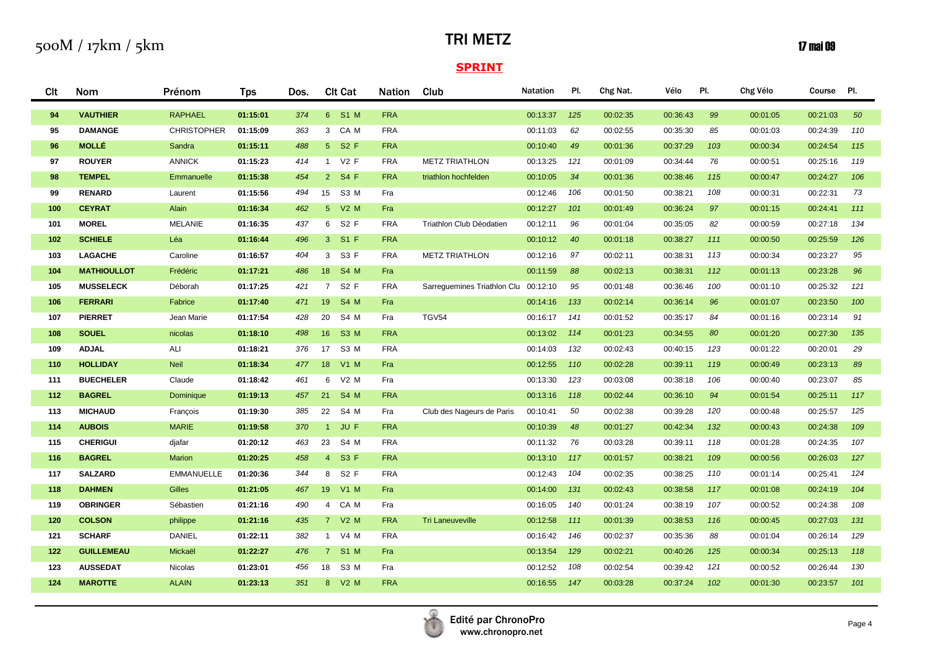## TRI METZ

## $\mathbf{17}$  mai 09

| <b>CIt</b> | <b>Nom</b>         | Prénom             | <b>Tps</b> | Dos. | <b>Clt Cat</b>                      | <b>Nation</b> | Club                        | <b>Natation</b> | PI. | Chg Nat. | Vélo     | PI. | Chg Vélo | Course Pl. |     |
|------------|--------------------|--------------------|------------|------|-------------------------------------|---------------|-----------------------------|-----------------|-----|----------|----------|-----|----------|------------|-----|
| 94         | <b>VAUTHIER</b>    | <b>RAPHAEL</b>     | 01:15:01   | 374  | 6 S1 M                              | <b>FRA</b>    |                             | 00:13:37        | 125 | 00:02:35 | 00:36:43 | 99  | 00:01:05 | 00:21:03   | 50  |
| 95         | <b>DAMANGE</b>     | <b>CHRISTOPHER</b> | 01:15:09   | 363  | 3 CAM                               | <b>FRA</b>    |                             | 00:11:03        | 62  | 00:02:55 | 00:35:30 | 85  | 00:01:03 | 00:24:39   | 110 |
| 96         | <b>MOLLÉ</b>       | Sandra             | 01:15:11   | 488  | 5 S2 F                              | <b>FRA</b>    |                             | 00:10:40        | 49  | 00:01:36 | 00:37:29 | 103 | 00:00:34 | 00:24:54   | 115 |
| 97         | <b>ROUYER</b>      | <b>ANNICK</b>      | 01:15:23   | 414  | 1 V2 F                              | <b>FRA</b>    | <b>METZ TRIATHLON</b>       | 00:13:25        | 121 | 00:01:09 | 00:34:44 | 76  | 00:00:51 | 00:25:16   | 119 |
| 98         | <b>TEMPEL</b>      | Emmanuelle         | 01:15:38   | 454  | 2 S4 F                              | <b>FRA</b>    | triathlon hochfelden        | 00:10:05        | 34  | 00:01:36 | 00:38:46 | 115 | 00:00:47 | 00:24:27   | 106 |
| 99         | <b>RENARD</b>      | Laurent            | 01:15:56   | 494  | 15<br>S3 M                          | Fra           |                             | 00:12:46        | 106 | 00:01:50 | 00:38:21 | 108 | 00:00:31 | 00:22:31   | 73  |
| 100        | <b>CEYRAT</b>      | Alain              | 01:16:34   | 462  | 5 V2 M                              | Fra           |                             | 00:12:27        | 101 | 00:01:49 | 00:36:24 | 97  | 00:01:15 | 00:24:41   | 111 |
| 101        | <b>MOREL</b>       | <b>MELANIE</b>     | 01:16:35   | 437  | 6 S2 F                              | <b>FRA</b>    | Triathlon Club Déodatien    | 00:12:11        | 96  | 00:01:04 | 00:35:05 | 82  | 00:00:59 | 00:27:18   | 134 |
| 102        | <b>SCHIELE</b>     | Léa                | 01:16:44   | 496  | $S1$ F<br>3 <sup>1</sup>            | <b>FRA</b>    |                             | 00:10:12        | 40  | 00:01:18 | 00:38:27 | 111 | 00:00:50 | 00:25:59   | 126 |
| 103        | <b>LAGACHE</b>     | Caroline           | 01:16:57   | 404  | 3 S3 F                              | <b>FRA</b>    | <b>METZ TRIATHLON</b>       | 00:12:16        | 97  | 00:02:11 | 00:38:31 | 113 | 00:00:34 | 00:23:27   | 95  |
| 104        | <b>MATHIOULLOT</b> | Frédéric           | 01:17:21   | 486  | 18 S4 M                             | Fra           |                             | 00:11:59        | 88  | 00:02:13 | 00:38:31 | 112 | 00:01:13 | 00:23:28   | 96  |
| 105        | <b>MUSSELECK</b>   | Déborah            | 01:17:25   | 421  | $7^{\circ}$<br>S <sub>2</sub> F     | <b>FRA</b>    | Sarrequemines Triathlon Clu | 00:12:10        | 95  | 00:01:48 | 00:36:46 | 100 | 00:01:10 | 00:25:32   | 121 |
| 106        | <b>FERRARI</b>     | Fabrice            | 01:17:40   | 471  | <b>S4 M</b><br>19                   | Fra           |                             | 00:14:16        | 133 | 00:02:14 | 00:36:14 | 96  | 00:01:07 | 00:23:50   | 100 |
| 107        | <b>PIERRET</b>     | Jean Marie         | 01:17:54   | 428  | 20<br>S4 M                          | Fra           | <b>TGV54</b>                | 00:16:17        | 141 | 00:01:52 | 00:35:17 | 84  | 00:01:16 | 00:23:14   | 91  |
| 108        | <b>SOUEL</b>       | nicolas            | 01:18:10   | 498  | 16 <sup>1</sup><br>S <sub>3</sub> M | <b>FRA</b>    |                             | 00:13:02        | 114 | 00:01:23 | 00:34:55 | 80  | 00:01:20 | 00:27:30   | 135 |
| 109        | <b>ADJAL</b>       | ALI                | 01:18:21   | 376  | 17<br>S <sub>3</sub> M              | <b>FRA</b>    |                             | 00:14:03        | 132 | 00:02:43 | 00:40:15 | 123 | 00:01:22 | 00:20:01   | 29  |
| 110        | <b>HOLLIDAY</b>    | <b>Neil</b>        | 01:18:34   | 477  | 18<br>$V1$ M                        | Fra           |                             | 00:12:55        | 110 | 00:02:28 | 00:39:11 | 119 | 00:00:49 | 00:23:13   | 89  |
| 111        | <b>BUECHELER</b>   | Claude             | 01:18:42   | 461  | 6<br>$V2$ M                         | Fra           |                             | 00:13:30        | 123 | 00:03:08 | 00:38:18 | 106 | 00:00:40 | 00:23:07   | 85  |
| 112        | <b>BAGREL</b>      | Dominique          | 01:19:13   | 457  | <b>S4 M</b><br>21                   | <b>FRA</b>    |                             | 00:13:16        | 118 | 00:02:44 | 00:36:10 | 94  | 00:01:54 | 00:25:11   | 117 |
| 113        | <b>MICHAUD</b>     | François           | 01:19:30   | 385  | 22<br>S4 M                          | Fra           | Club des Nageurs de Paris   | 00:10:41        | 50  | 00:02:38 | 00:39:28 | 120 | 00:00:48 | 00:25:57   | 125 |
| 114        | <b>AUBOIS</b>      | <b>MARIE</b>       | 01:19:58   | 370  | JU F<br>1 <sup>1</sup>              | <b>FRA</b>    |                             | 00:10:39        | 48  | 00:01:27 | 00:42:34 | 132 | 00:00:43 | 00:24:38   | 109 |
| 115        | <b>CHERIGUI</b>    | djafar             | 01:20:12   | 463  | 23 S4 M                             | <b>FRA</b>    |                             | 00:11:32        | 76  | 00:03:28 | 00:39:11 | 118 | 00:01:28 | 00:24:35   | 107 |
| 116        | <b>BAGREL</b>      | Marion             | 01:20:25   | 458  | <b>S3 F</b><br>4 <sup>1</sup>       | <b>FRA</b>    |                             | 00:13:10        | 117 | 00:01:57 | 00:38:21 | 109 | 00:00:56 | 00:26:03   | 127 |
| 117        | <b>SALZARD</b>     | <b>EMMANUELLE</b>  | 01:20:36   | 344  | S2 F<br>8                           | <b>FRA</b>    |                             | 00:12:43        | 104 | 00:02:35 | 00:38:25 | 110 | 00:01:14 | 00:25:41   | 124 |
| 118        | <b>DAHMEN</b>      | Gilles             | 01:21:05   | 467  | 19<br><b>V1 M</b>                   | Fra           |                             | 00:14:00        | 131 | 00:02:43 | 00:38:58 | 117 | 00:01:08 | 00:24:19   | 104 |
| 119        | <b>OBRINGER</b>    | Sébastien          | 01:21:16   | 490  | 4 CAM                               | Fra           |                             | 00:16:05        | 140 | 00:01:24 | 00:38:19 | 107 | 00:00:52 | 00:24:38   | 108 |
| 120        | <b>COLSON</b>      | philippe           | 01:21:16   | 435  | 7 V2 M                              | <b>FRA</b>    | <b>Tri Laneuveville</b>     | 00:12:58        | 111 | 00:01:39 | 00:38:53 | 116 | 00:00:45 | 00:27:03   | 131 |
| 121        | <b>SCHARF</b>      | <b>DANIEL</b>      | 01:22:11   | 382  | V4 M<br>$\mathbf{1}$                | <b>FRA</b>    |                             | 00:16:42        | 146 | 00:02:37 | 00:35:36 | 88  | 00:01:04 | 00:26:14   | 129 |
| 122        | <b>GUILLEMEAU</b>  | Mickaël            | 01:22:27   | 476  | <b>S1 M</b><br>7 <sup>7</sup>       | Fra           |                             | 00:13:54        | 129 | 00:02:21 | 00:40:26 | 125 | 00:00:34 | 00:25:13   | 118 |
| 123        | <b>AUSSEDAT</b>    | Nicolas            | 01:23:01   | 456  | S3 M<br>18                          | Fra           |                             | 00:12:52        | 108 | 00:02:54 | 00:39:42 | 121 | 00:00:52 | 00:26:44   | 130 |
| 124        | <b>MAROTTE</b>     | <b>ALAIN</b>       | 01:23:13   | 351  | 8 V2 M                              | <b>FRA</b>    |                             | 00:16:55        | 147 | 00:03:28 | 00:37:24 | 102 | 00:01:30 | 00:23:57   | 101 |